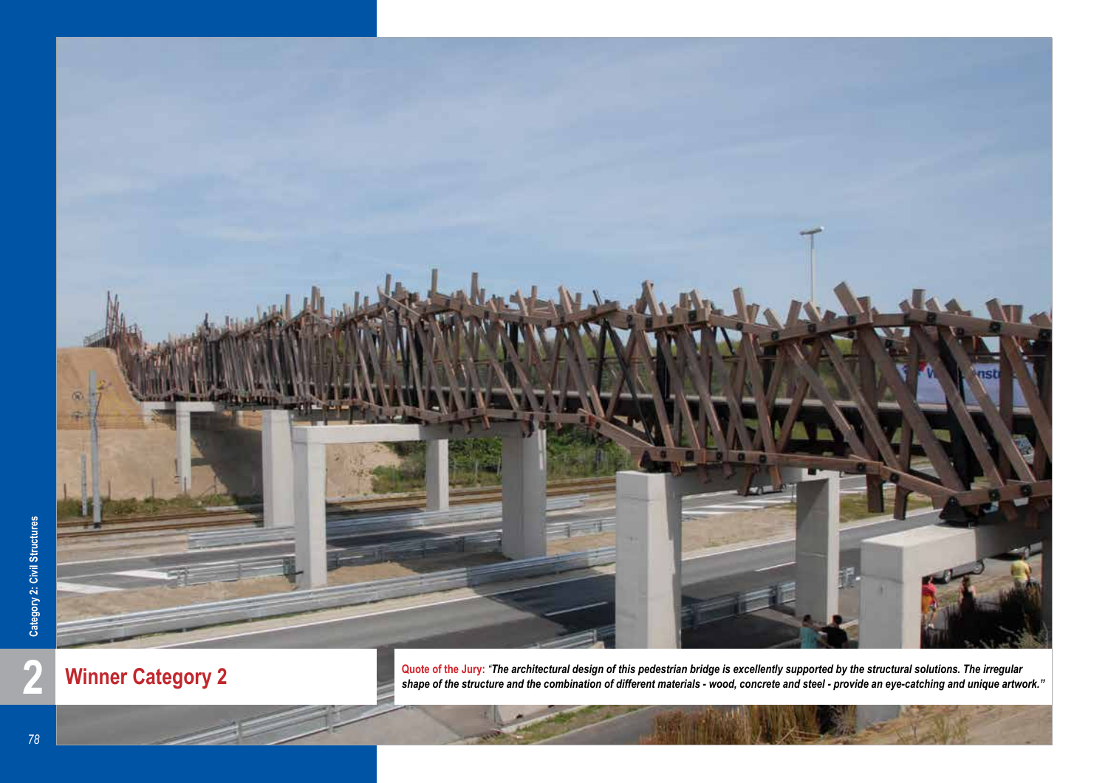

**Winner Category 2**

**2 Winner Category 2 Quote of the Jury:** *"The architectural design of this pedestrian bridge is excellently supported by the structural solutions. The irregular shape of the structure and the combination of different shape of the structure and the combination of different materials - wood, concrete and steel - provide an eye-catching and unique artwork."*